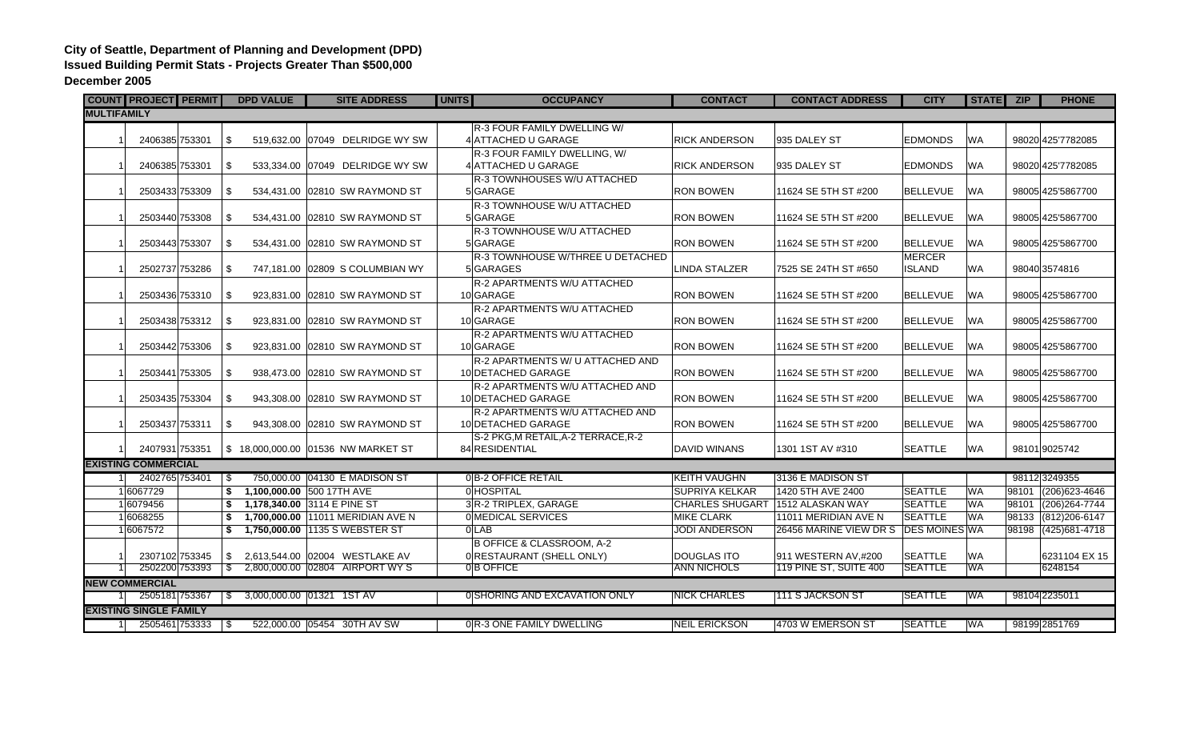## **City of Seattle, Department of Planning and Development (DPD) Issued Building Permit Stats - Projects Greater Than \$500,000 December 2005**

|                               |          |                            | <b>COUNT PROJECT PERMIT</b> |               | <b>DPD VALUE</b> | <b>SITE ADDRESS</b>                 | <b>UNITS</b> | <b>OCCUPANCY</b>                         | <b>CONTACT</b>                   | <b>CONTACT ADDRESS</b>               | <b>CITY</b>     | STATE ZIP  |       | <b>PHONE</b>         |
|-------------------------------|----------|----------------------------|-----------------------------|---------------|------------------|-------------------------------------|--------------|------------------------------------------|----------------------------------|--------------------------------------|-----------------|------------|-------|----------------------|
| <b>MULTIFAMILY</b>            |          |                            |                             |               |                  |                                     |              |                                          |                                  |                                      |                 |            |       |                      |
|                               |          |                            |                             |               |                  |                                     |              | R-3 FOUR FAMILY DWELLING W/              |                                  |                                      |                 |            |       |                      |
|                               |          | 2406385 753301             |                             | \$            |                  | 519.632.00 07049 DELRIDGE WY SW     |              | 4 ATTACHED U GARAGE                      | <b>RICK ANDERSON</b>             | 935 DALEY ST                         | <b>EDMONDS</b>  | <b>WA</b>  |       | 98020 425'7782085    |
|                               |          |                            |                             |               |                  |                                     |              | R-3 FOUR FAMILY DWELLING, W/             |                                  |                                      |                 |            |       |                      |
|                               |          | 2406385 753301             |                             | -\$           |                  | 533.334.00 07049 DELRIDGE WY SW     |              | 4 ATTACHED U GARAGE                      | <b>RICK ANDERSON</b>             | 935 DALEY ST                         | <b>EDMONDS</b>  | <b>WA</b>  |       | 98020 425'7782085    |
|                               |          |                            |                             |               |                  |                                     |              | R-3 TOWNHOUSES W/U ATTACHED              |                                  |                                      |                 |            |       |                      |
|                               |          |                            | 2503433 753309              | \$            |                  | 534,431.00 02810 SW RAYMOND ST      |              | 5 GARAGE                                 | <b>RON BOWEN</b>                 | 11624 SE 5TH ST #200                 | <b>BELLEVUE</b> | <b>WA</b>  |       | 98005 425'5867700    |
|                               |          |                            |                             |               |                  |                                     |              | R-3 TOWNHOUSE W/U ATTACHED               |                                  |                                      |                 |            |       |                      |
|                               |          |                            | 2503440 753308              | \$            |                  | 534,431.00 02810 SW RAYMOND ST      |              | 5 GARAGE                                 | <b>RON BOWEN</b>                 | 11624 SE 5TH ST #200                 | <b>BELLEVUE</b> | <b>WA</b>  |       | 98005 425 5867700    |
|                               |          |                            |                             |               |                  |                                     |              | R-3 TOWNHOUSE W/U ATTACHED               |                                  |                                      |                 |            |       |                      |
|                               |          |                            | 2503443 753307              | \$            |                  | 534.431.00 02810 SW RAYMOND ST      |              | 5 GARAGE                                 | <b>RON BOWEN</b>                 | 11624 SE 5TH ST #200                 | <b>BELLEVUE</b> | <b>WA</b>  |       | 98005 425 5867700    |
|                               |          |                            |                             |               |                  |                                     |              | R-3 TOWNHOUSE W/THREE U DETACHED         |                                  |                                      | <b>MERCER</b>   |            |       |                      |
|                               |          |                            | 2502737 753286              | -\$           |                  | 747,181.00 02809 S COLUMBIAN WY     |              | 5 GARAGES                                | <b>LINDA STALZER</b>             | 7525 SE 24TH ST #650                 | <b>ISLAND</b>   | <b>WA</b>  |       | 98040 3574816        |
|                               |          |                            | 2503436 753310              | \$            |                  | 923,831.00 02810 SW RAYMOND ST      |              | R-2 APARTMENTS W/U ATTACHED<br>10 GARAGE | <b>RON BOWEN</b>                 | 11624 SE 5TH ST #200                 | <b>BELLEVUE</b> | <b>WA</b>  |       | 98005 425 5867700    |
|                               |          |                            |                             |               |                  |                                     |              | R-2 APARTMENTS W/U ATTACHED              |                                  |                                      |                 |            |       |                      |
|                               |          |                            | 2503438 753312              | -\$           |                  | 923,831.00 02810 SW RAYMOND ST      |              | 10 GARAGE                                | <b>RON BOWEN</b>                 | 11624 SE 5TH ST #200                 | <b>BELLEVUE</b> | <b>WA</b>  |       | 98005 425 5867700    |
|                               |          |                            |                             |               |                  |                                     |              | R-2 APARTMENTS W/U ATTACHED              |                                  |                                      |                 |            |       |                      |
|                               |          |                            | 2503442 753306              | \$            |                  | 923,831.00 02810 SW RAYMOND ST      |              | 10 GARAGE                                | <b>RON BOWEN</b>                 | 11624 SE 5TH ST #200                 | <b>BELLEVUE</b> | <b>WA</b>  |       | 98005 425 5867700    |
|                               |          |                            |                             |               |                  |                                     |              | R-2 APARTMENTS W/ U ATTACHED AND         |                                  |                                      |                 |            |       |                      |
|                               |          |                            | 2503441 753305              | \$            |                  | 938,473.00 02810 SW RAYMOND ST      |              | 10 DETACHED GARAGE                       | <b>RON BOWEN</b>                 | 11624 SE 5TH ST #200                 | <b>BELLEVUE</b> | <b>WA</b>  |       | 98005 425 5867700    |
|                               |          |                            |                             |               |                  |                                     |              | R-2 APARTMENTS W/U ATTACHED AND          |                                  |                                      |                 |            |       |                      |
|                               |          |                            | 2503435 753304              | -S            |                  | 943.308.00 02810 SW RAYMOND ST      |              | 10 DETACHED GARAGE                       | <b>RON BOWEN</b>                 | 11624 SE 5TH ST #200                 | <b>BELLEVUE</b> | <b>WA</b>  |       | 98005 425 5867700    |
|                               |          |                            |                             |               |                  |                                     |              | R-2 APARTMENTS W/U ATTACHED AND          |                                  |                                      |                 |            |       |                      |
|                               |          |                            | 2503437 753311              | \$            |                  | 943,308.00 02810 SW RAYMOND ST      |              | 10 DETACHED GARAGE                       | <b>RON BOWEN</b>                 | 11624 SE 5TH ST #200                 | <b>BELLEVUE</b> | <b>WA</b>  |       | 98005 425 5867700    |
|                               |          |                            |                             |               |                  |                                     |              | S-2 PKG, M RETAIL, A-2 TERRACE, R-2      |                                  |                                      |                 |            |       |                      |
|                               |          | 2407931 753351             |                             |               |                  | \$ 18,000,000.00 01536 NW MARKET ST |              | 84 RESIDENTIAL                           | <b>DAVID WINANS</b>              | 1301 1ST AV #310                     | <b>SEATTLE</b>  | <b>WA</b>  |       | 98101 9025742        |
|                               |          | <b>EXISTING COMMERCIAL</b> |                             |               |                  |                                     |              |                                          |                                  |                                      |                 |            |       |                      |
|                               |          |                            | 2402765 753401              |               |                  | 750,000.00 04130 E MADISON ST       |              | 0 B-2 OFFICE RETAIL                      | <b>KEITH VAUGHN</b>              | 3136 E MADISON ST                    |                 |            |       | 981123249355         |
|                               | 16067729 |                            |                             | \$            |                  | 1,100,000.00 500 17TH AVE           |              | 0 HOSPITAL                               | SUPRIYA KELKAR                   | 1420 5TH AVE 2400                    | <b>SEATTLE</b>  | <b>WA</b>  | 98101 | (206) 623-4646       |
|                               | 16079456 |                            |                             | \$            |                  | 1,178,340.00 3114 E PINE ST         |              | 3 R-2 TRIPLEX, GARAGE                    | CHARLES SHUGART 1512 ALASKAN WAY |                                      | <b>SEATTLE</b>  | <b>WA</b>  | 98101 | $(206)264 - 7744$    |
|                               | 16068255 |                            |                             | \$            |                  | 1.700.000.00 11011 MERIDIAN AVE N   |              | 0 MEDICAL SERVICES                       | <b>MIKE CLARK</b>                | 11011 MERIDIAN AVE N                 | <b>SEATTLE</b>  | <b>WA</b>  |       | 98133 (812) 206-6147 |
|                               | 16067572 |                            |                             |               |                  | \$1,750,000.00 1135 S WEBSTER ST    |              | 0 LAB                                    | <b>JODI ANDERSON</b>             | 26456 MARINE VIEW DR S DES MOINES WA |                 |            | 98198 | $(425)681 - 4718$    |
|                               |          |                            |                             |               |                  |                                     |              | <b>B OFFICE &amp; CLASSROOM, A-2</b>     |                                  |                                      |                 |            |       |                      |
|                               |          |                            | 2307102 753345              | \$            |                  | 2,613,544.00 02004 WESTLAKE AV      |              | 0 RESTAURANT (SHELL ONLY)                | <b>DOUGLAS ITO</b>               | 911 WESTERN AV,#200                  | <b>SEATTLE</b>  | <b>WA</b>  |       | 6231104 EX 15        |
|                               |          |                            | 2502200 753393              | $\mathcal{S}$ |                  | 2,800,000.00 02804 AIRPORT WY S     |              | 0B OFFICE                                | <b>ANN NICHOLS</b>               | 119 PINE ST, SUITE 400               | <b>SEATTLE</b>  | <b>WA</b>  |       | 6248154              |
| <b>NEW COMMERCIAL</b>         |          |                            |                             |               |                  |                                     |              |                                          |                                  |                                      |                 |            |       |                      |
|                               |          |                            | 2505181 753367              | S.            |                  |                                     |              | 0 SHORING AND EXCAVATION ONLY            | <b>NICK CHARLES</b>              | <u>111 S JACKSON ST</u>              | <b>SEATTLE</b>  | <b>IWA</b> |       | 98104 2235011        |
| <b>EXISTING SINGLE FAMILY</b> |          |                            |                             |               |                  |                                     |              |                                          |                                  |                                      |                 |            |       |                      |
|                               |          |                            | 2505461 753333              | ∣\$           |                  | 522,000.00 05454 30TH AV SW         |              | 0 R-3 ONE FAMILY DWELLING                | <b>NEIL ERICKSON</b>             | 4703 W EMERSON ST                    | <b>SEATTLE</b>  | <b>WA</b>  |       | 98199 2851769        |